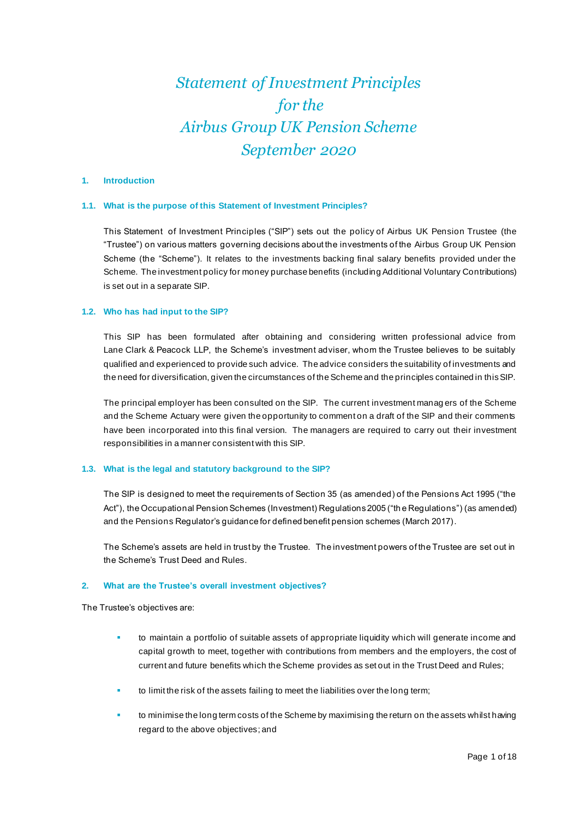# *Statement of Investment Principles for the Airbus Group UK Pension Scheme September 2020*

## **1. Introduction**

#### **1.1. What is the purpose of this Statement of Investment Principles?**

This Statement of Investment Principles ("SIP") sets out the policy of Airbus UK Pension Trustee (the "Trustee") on various matters governing decisions about the investments of the Airbus Group UK Pension Scheme (the "Scheme"). It relates to the investments backing final salary benefits provided under the Scheme. The investment policy for money purchase benefits (including Additional Voluntary Contributions) is set out in a separate SIP.

#### **1.2. Who has had input to the SIP?**

This SIP has been formulated after obtaining and considering written professional advice from Lane Clark & Peacock LLP, the Scheme's investment adviser, whom the Trustee believes to be suitably qualified and experienced to provide such advice. The advice considers the suitability of investments and the need for diversification, given the circumstances of the Scheme and the principles contained in this SIP.

The principal employer has been consulted on the SIP. The current investment manag ers of the Scheme and the Scheme Actuary were given the opportunity to comment on a draft of the SIP and their comments have been incorporated into this final version. The managers are required to carry out their investment responsibilities in a manner consistent with this SIP.

## **1.3. What is the legal and statutory background to the SIP?**

The SIP is designed to meet the requirements of Section 35 (as amended) of the Pensions Act 1995 ("the Act"), the Occupational Pension Schemes (Investment) Regulations 2005 ("the Regulations") (as amended) and the Pensions Regulator's guidance for defined benefit pension schemes (March 2017).

The Scheme's assets are held in trust by the Trustee. The investment powers of the Trustee are set out in the Scheme's Trust Deed and Rules.

#### **2. What are the Trustee's overall investment objectives?**

The Trustee's objectives are:

- to maintain a portfolio of suitable assets of appropriate liquidity which will generate income and capital growth to meet, together with contributions from members and the employers, the cost of current and future benefits which the Scheme provides as set out in the Trust Deed and Rules;
- to limit the risk of the assets failing to meet the liabilities over the long term;
- to minimise the long term costs of the Scheme by maximising the return on the assets whilst having regard to the above objectives; and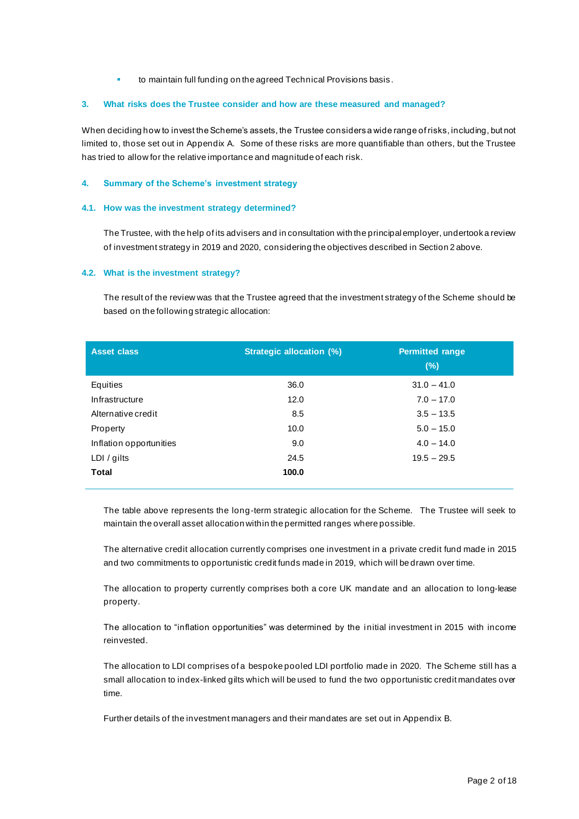to maintain full funding on the agreed Technical Provisions basis.

## **3. What risks does the Trustee consider and how are these measured and managed?**

When deciding how to invest the Scheme's assets, the Trustee considers a wide range of risks, including, but not limited to, those set out in Appendix A. Some of these risks are more quantifiable than others, but the Trustee has tried to allow for the relative importance and magnitude of each risk.

## **4. Summary of the Scheme's investment strategy**

## **4.1. How was the investment strategy determined?**

The Trustee, with the help of its advisers and in consultation with the principal employer, undertook a review of investment strategy in 2019 and 2020, considering the objectives described in Section 2 above.

## **4.2. What is the investment strategy?**

The result of the review was that the Trustee agreed that the investment strategy of the Scheme should be based on the following strategic allocation:

| <b>Asset class</b>      | <b>Strategic allocation (%)</b> | <b>Permitted range</b><br>(% ) |
|-------------------------|---------------------------------|--------------------------------|
| Equities                | 36.0                            | $31.0 - 41.0$                  |
| Infrastructure          | 12.0                            | $7.0 - 17.0$                   |
| Alternative credit      | 8.5                             | $3.5 - 13.5$                   |
| Property                | 10.0                            | $5.0 - 15.0$                   |
| Inflation opportunities | 9.0                             | $4.0 - 14.0$                   |
| LDI / gilts             | 24.5                            | $19.5 - 29.5$                  |
| <b>Total</b>            | 100.0                           |                                |

The table above represents the long-term strategic allocation for the Scheme. The Trustee will seek to maintain the overall asset allocation within the permitted ranges where possible.

The alternative credit allocation currently comprises one investment in a private credit fund made in 2015 and two commitments to opportunistic credit funds made in 2019, which will be drawn over time.

The allocation to property currently comprises both a core UK mandate and an allocation to long-lease property.

The allocation to "inflation opportunities" was determined by the initial investment in 2015 with income reinvested.

The allocation to LDI comprises of a bespoke pooled LDI portfolio made in 2020. The Scheme still has a small allocation to index-linked gilts which will be used to fund the two opportunistic credit mandates over time.

Further details of the investment managers and their mandates are set out in Appendix B.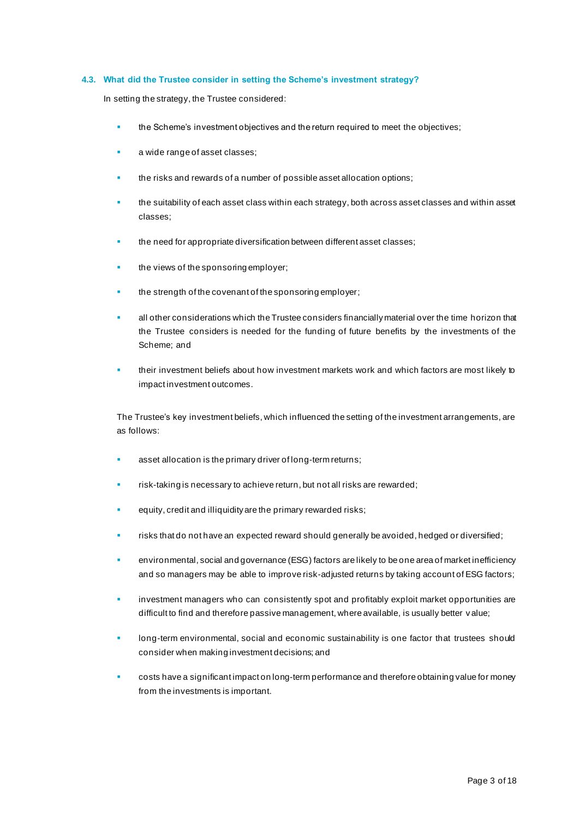## **4.3. What did the Trustee consider in setting the Scheme's investment strategy?**

In setting the strategy, the Trustee considered:

- the Scheme's investment objectives and the return required to meet the objectives;
- a wide range of asset classes;
- the risks and rewards of a number of possible asset allocation options;
- the suitability of each asset class within each strategy, both across asset classes and within asset classes;
- the need for appropriate diversification between different asset classes:
- the views of the sponsoring employer;
- the strength of the covenant of the sponsoring employer;
- all other considerations which the Trustee considers financially material over the time horizon that the Trustee considers is needed for the funding of future benefits by the investments of the Scheme; and
- their investment beliefs about how investment markets work and which factors are most likely to impact investment outcomes.

The Trustee's key investment beliefs, which influenced the setting of the investment arrangements, are as follows:

- asset allocation is the primary driver of long-term returns;
- risk-taking is necessary to achieve return, but not all risks are rewarded;
- equity, credit and illiquidity are the primary rewarded risks;
- risks that do not have an expected reward should generally be avoided, hedged or diversified;
- environmental, social and governance (ESG) factors are likely to be one area of market inefficiency and so managers may be able to improve risk-adjusted returns by taking account of ESG factors;
- investment managers who can consistently spot and profitably exploit market opportunities are difficult to find and therefore passive management, where available, is usually better v alue;
- long-term environmental, social and economic sustainability is one factor that trustees should consider when making investment decisions; and
- costs have a significant impact on long-term performance and therefore obtaining value for money from the investments is important.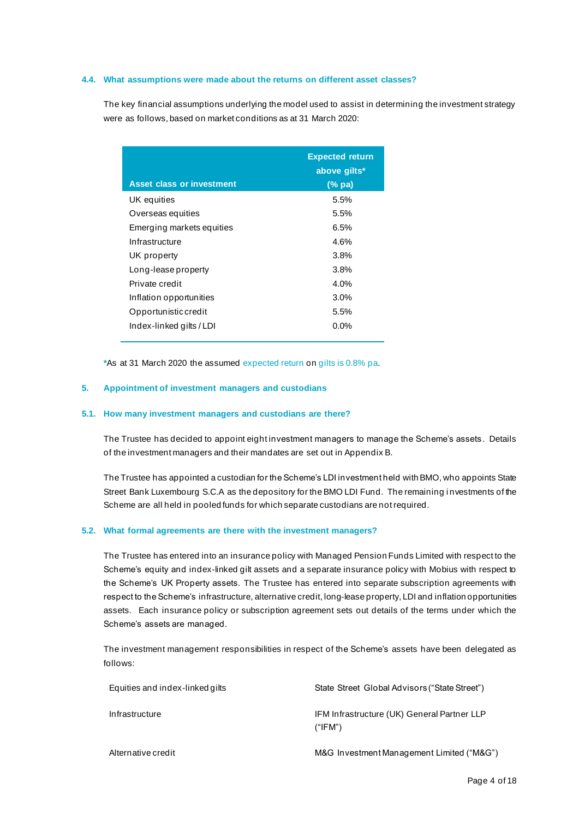## **4.4. What assumptions were made about the returns on different asset classes?**

The key financial assumptions underlying the model used to assist in determining the investment strategy were as follows, based on market conditions as at 31 March 2020:

|                                  | <b>Expected return</b><br>above gilts* |
|----------------------------------|----------------------------------------|
| <b>Asset class or investment</b> | $(\%$ pa)                              |
| UK equities                      | 5.5%                                   |
| Overseas equities                | 5.5%                                   |
| Emerging markets equities        | 6.5%                                   |
| Infrastructure                   | 4.6%                                   |
| UK property                      | 3.8%                                   |
| Long-lease property              | 3.8%                                   |
| Private credit                   | 4.0%                                   |
| Inflation opportunities          | $3.0\%$                                |
| Opportunisticcredit              | 5.5%                                   |
| Index-linked gilts / LDI         | $0.0\%$                                |

**\***As at 31 March 2020 the assumed expected return on gilts is 0.8% pa.

## **5. Appointment of investment managers and custodians**

## **5.1. How many investment managers and custodians are there?**

The Trustee has decided to appoint eight investment managers to manage the Scheme's assets. Details of the investment managers and their mandates are set out in Appendix B.

The Trustee has appointed a custodian for the Scheme's LDI investment held with BMO, who appoints State Street Bank Luxembourg S.C.A as the depository for the BMO LDI Fund. The remaining i nvestments of the Scheme are all held in pooled funds for which separate custodians are not required.

### **5.2. What formal agreements are there with the investment managers?**

The Trustee has entered into an insurance policy with Managed Pension Funds Limited with respect to the Scheme's equity and index-linked gilt assets and a separate insurance policy with Mobius with respect to the Scheme's UK Property assets. The Trustee has entered into separate subscription agreements with respect to the Scheme's infrastructure, alternative credit, long-lease property, LDI and inflation opportunities assets. Each insurance policy or subscription agreement sets out details of the terms under which the Scheme's assets are managed.

The investment management responsibilities in respect of the Scheme's assets have been delegated as follows:

| Equities and index-linked gilts | State Street Global Advisors ("State Street")          |
|---------------------------------|--------------------------------------------------------|
| Infrastructure                  | IFM Infrastructure (UK) General Partner LLP<br>("IFM") |
| Alternative credit              | M&G Investment Management Limited ("M&G")              |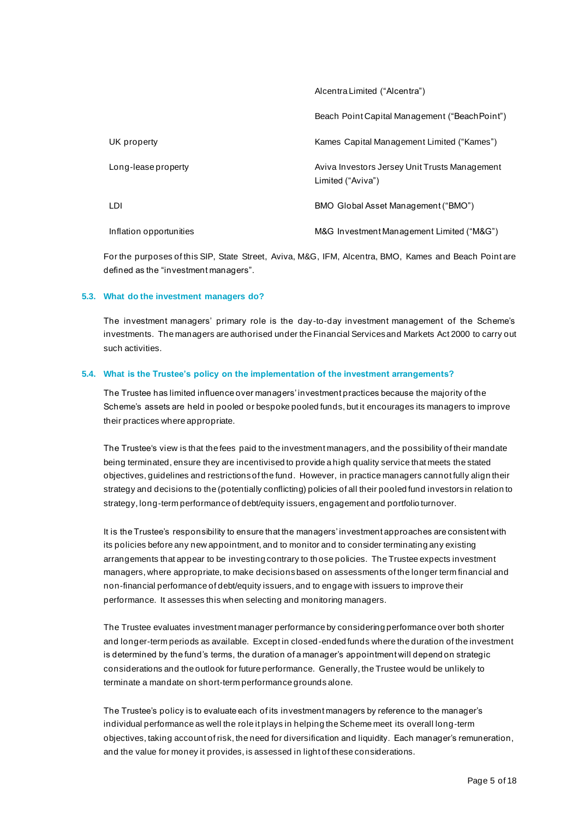Alcentra Limited ("Alcentra")

|                         | Beach Point Capital Management ("Beach Point")                     |
|-------------------------|--------------------------------------------------------------------|
| UK property             | Kames Capital Management Limited ("Kames")                         |
| Long-lease property     | Aviva Investors Jersey Unit Trusts Management<br>Limited ("Aviva") |
| LDI                     | BMO Global Asset Management ("BMO")                                |
| Inflation opportunities | M&G Investment Management Limited ("M&G")                          |

For the purposes of this SIP, State Street, Aviva, M&G, IFM, Alcentra, BMO, Kames and Beach Point are defined as the "investment managers".

### **5.3. What do the investment managers do?**

The investment managers' primary role is the day-to-day investment management of the Scheme's investments. The managers are authorised under the Financial Services and Markets Act 2000 to carry out such activities.

### **5.4. What is the Trustee's policy on the implementation of the investment arrangements?**

The Trustee has limited influence over managers' investment practices because the majority of the Scheme's assets are held in pooled or bespoke pooled funds, but it encourages its managers to improve their practices where appropriate.

The Trustee's view is that the fees paid to the investment managers, and the possibility of their mandate being terminated, ensure they are incentivised to provide a high quality service that meets the stated objectives, guidelines and restrictions of the fund. However, in practice managers cannot fully align their strategy and decisions to the (potentially conflicting) policies of all their pooled fund investors in relation to strategy, long-term performance of debt/equity issuers, engagement and portfolio turnover.

It is the Trustee's responsibility to ensure that the managers' investment approaches are consistent with its policies before any new appointment, and to monitor and to consider terminating any existing arrangements that appear to be investing contrary to th ose policies. The Trustee expects investment managers, where appropriate, to make decisions based on assessments of the longer term financial and non-financial performance of debt/equity issuers, and to engage with issuers to improve their performance. It assesses this when selecting and monitoring managers.

The Trustee evaluates investment manager performance by considering performance over both shorter and longer-term periods as available. Except in closed-ended funds where the duration of the investment is determined by the fund's terms, the duration of a manager's appointment will depend on strategic considerations and the outlook for future performance. Generally, the Trustee would be unlikely to terminate a mandate on short-term performance grounds alone.

The Trustee's policy is to evaluate each of its investment managers by reference to the manager's individual performance as well the role it plays in helping the Scheme meet its overall long-term objectives, taking account of risk, the need for diversification and liquidity. Each manager's remuneration, and the value for money it provides, is assessed in light of these considerations.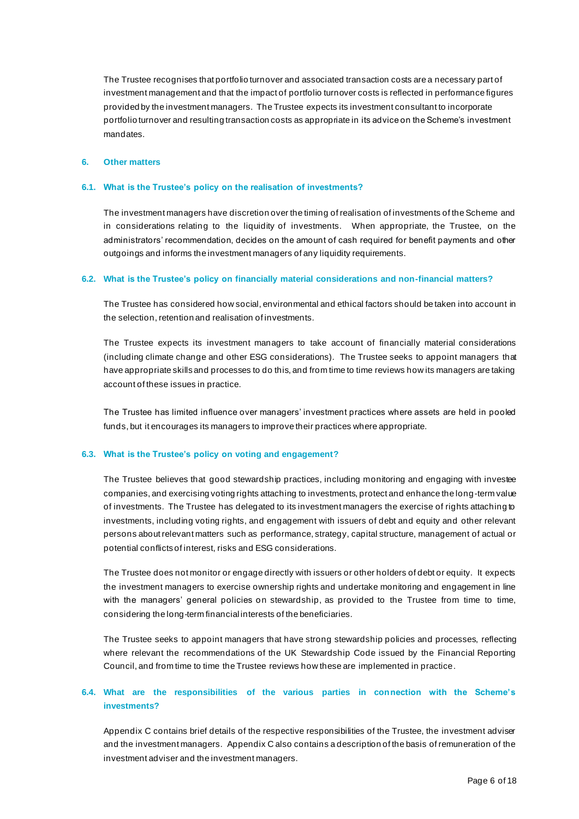The Trustee recognises that portfolio turnover and associated transaction costs are a necessary part of investment management and that the impact of portfolio turnover costs is reflected in performance figures provided by the investment managers. The Trustee expects its investment consultant to incorporate portfolio turnover and resulting transaction costs as appropriate in its advice on the Scheme's investment mandates.

### **6. Other matters**

#### **6.1. What is the Trustee's policy on the realisation of investments?**

The investment managers have discretion over the timing of realisation of investments of the Scheme and in considerations relating to the liquidity of investments. When appropriate, the Trustee, on the administrators' recommendation, decides on the amount of cash required for benefit payments and other outgoings and informs the investment managers of any liquidity requirements.

### **6.2. What is the Trustee's policy on financially material considerations and non-financial matters?**

The Trustee has considered how social, environmental and ethical factors should be taken into account in the selection, retention and realisation of investments.

The Trustee expects its investment managers to take account of financially material considerations (including climate change and other ESG considerations). The Trustee seeks to appoint managers that have appropriate skills and processes to do this, and from time to time reviews how its managers are taking account of these issues in practice.

The Trustee has limited influence over managers' investment practices where assets are held in pooled funds, but it encourages its managers to improve their practices where appropriate.

#### **6.3. What is the Trustee's policy on voting and engagement?**

The Trustee believes that good stewardship practices, including monitoring and engaging with investee companies, and exercising voting rights attaching to investments, protect and enhance the long-term value of investments. The Trustee has delegated to its investment managers the exercise of rights attaching to investments, including voting rights, and engagement with issuers of debt and equity and other relevant persons about relevant matters such as performance, strategy, capital structure, management of actual or potential conflicts of interest, risks and ESG considerations.

The Trustee does not monitor or engage directly with issuers or other holders of debt or equity. It expects the investment managers to exercise ownership rights and undertake monitoring and engagement in line with the managers' general policies on stewardship, as provided to the Trustee from time to time, considering the long-term financial interests of the beneficiaries.

The Trustee seeks to appoint managers that have strong stewardship policies and processes, reflecting where relevant the recommendations of the UK Stewardship Code issued by the Financial Reporting Council, and from time to time the Trustee reviews how these are implemented in practice.

# **6.4. What are the responsibilities of the various parties in connection with the Scheme's investments?**

Appendix C contains brief details of the respective responsibilities of the Trustee, the investment adviser and the investment managers. Appendix C also contains a description of the basis of remuneration of the investment adviser and the investment managers.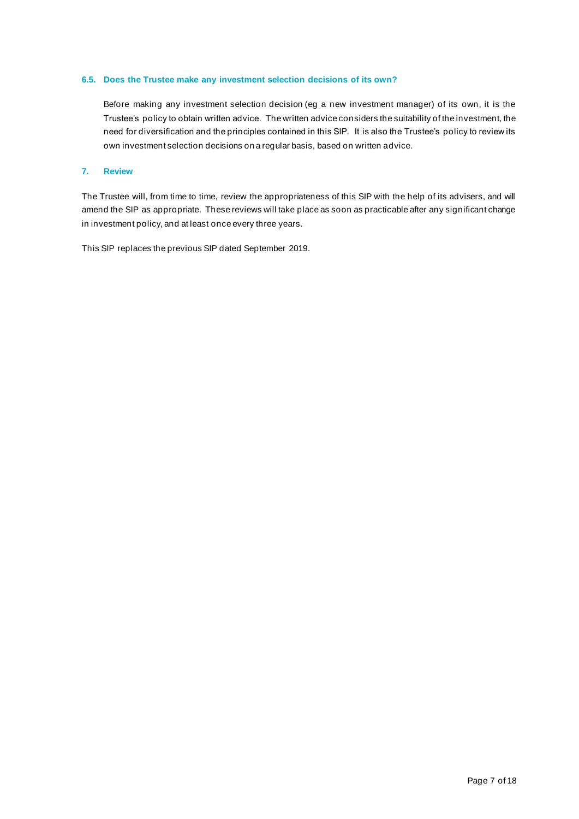## **6.5. Does the Trustee make any investment selection decisions of its own?**

Before making any investment selection decision (eg a new investment manager) of its own, it is the Trustee's policy to obtain written advice. The written advice considers the suitability of the investment, the need for diversification and the principles contained in this SIP. It is also the Trustee's policy to review its own investment selection decisions on a regular basis, based on written advice.

## **7. Review**

The Trustee will, from time to time, review the appropriateness of this SIP with the help of its advisers, and will amend the SIP as appropriate. These reviews will take place as soon as practicable after any significant change in investment policy, and at least once every three years.

This SIP replaces the previous SIP dated September 2019.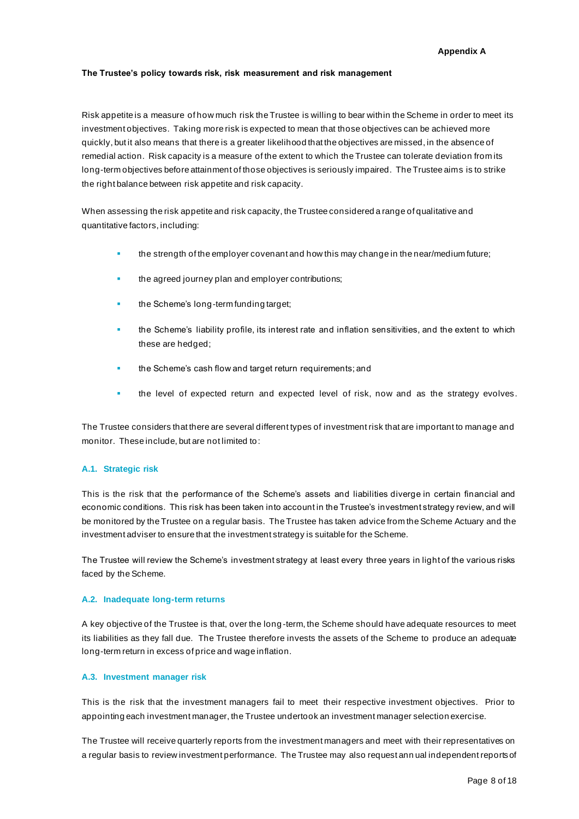#### **Appendix A**

### **The Trustee's policy towards risk, risk measurement and risk management**

Risk appetite is a measure of how much risk the Trustee is willing to bear within the Scheme in order to meet its investment objectives. Taking more risk is expected to mean that those objectives can be achieved more quickly, but it also means that there is a greater likelihood that the objectives are missed, in the absence of remedial action. Risk capacity is a measure of the extent to which the Trustee can tolerate deviation from its long-term objectives before attainment of those objectives is seriously impaired. The Trustee aims is to strike the right balance between risk appetite and risk capacity.

When assessing the risk appetite and risk capacity, the Trustee considered a range of qualitative and quantitative factors, including:

- the strength of the employer covenant and how this may change in the near/medium future;
- the agreed journey plan and employer contributions;
- the Scheme's long-term funding target;
- the Scheme's liability profile, its interest rate and inflation sensitivities, and the extent to which these are hedged;
- the Scheme's cash flow and target return requirements; and
- the level of expected return and expected level of risk, now and as the strategy evolves.

The Trustee considers that there are several different types of investment risk that are important to manage and monitor. These include, but are not limited to:

## **A.1. Strategic risk**

This is the risk that the performance of the Scheme's assets and liabilities diverge in certain financial and economic conditions. This risk has been taken into account in the Trustee's investment strategy review, and will be monitored by the Trustee on a regular basis. The Trustee has taken advice from the Scheme Actuary and the investment adviser to ensure that the investment strategy is suitable for the Scheme.

The Trustee will review the Scheme's investment strategy at least every three years in light of the various risks faced by the Scheme.

### **A.2. Inadequate long-term returns**

A key objective of the Trustee is that, over the long -term, the Scheme should have adequate resources to meet its liabilities as they fall due. The Trustee therefore invests the assets of the Scheme to produce an adequate long-term return in excess of price and wage inflation.

### **A.3. Investment manager risk**

This is the risk that the investment managers fail to meet their respective investment objectives. Prior to appointing each investment manager, the Trustee undertook an investment manager selection exercise.

The Trustee will receive quarterly reports from the investment managers and meet with their representatives on a regular basis to review investment performance. The Trustee may also request ann ual independent reports of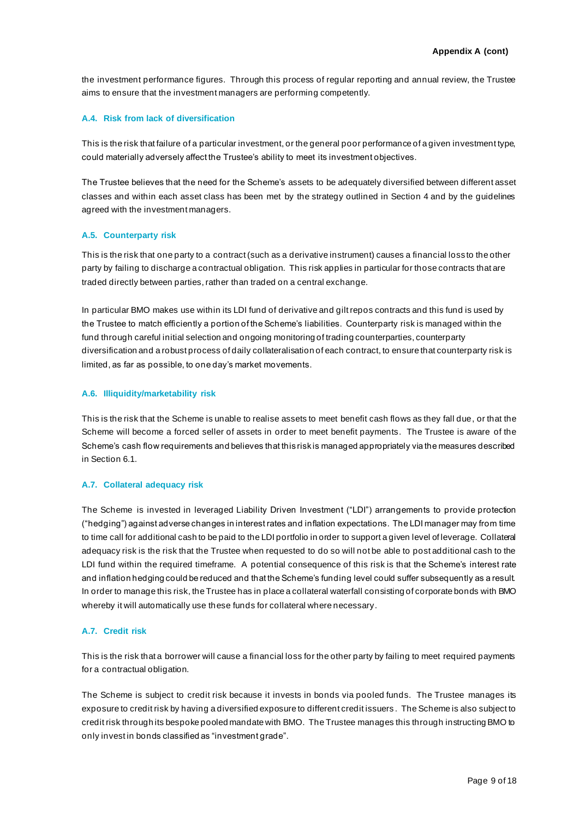the investment performance figures. Through this process of regular reporting and annual review, the Trustee aims to ensure that the investment managers are performing competently.

### **A.4. Risk from lack of diversification**

This is the risk that failure of a particular investment, or the general poor performance of a given investment type, could materially adversely affect the Trustee's ability to meet its investment objectives.

The Trustee believes that the need for the Scheme's assets to be adequately diversified between different asset classes and within each asset class has been met by the strategy outlined in Section 4 and by the guidelines agreed with the investment managers.

#### **A.5. Counterparty risk**

This is the risk that one party to a contract (such as a derivative instrument) causes a financial loss to the other party by failing to discharge a contractual obligation. This risk applies in particular for those contracts that are traded directly between parties, rather than traded on a central exchange.

In particular BMO makes use within its LDI fund of derivative and gilt repos contracts and this fund is used by the Trustee to match efficiently a portion of the Scheme's liabilities. Counterparty risk is managed within the fund through careful initial selection and ongoing monitoring of trading counterparties, counterparty diversification and a robust process of daily collateralisation of each contract, to ensure that counterparty risk is limited, as far as possible, to one day's market movements.

#### **A.6. Illiquidity/marketability risk**

This is the risk that the Scheme is unable to realise assets to meet benefit cash flows as they fall due, or that the Scheme will become a forced seller of assets in order to meet benefit payments. The Trustee is aware of the Scheme's cash flow requirements and believes that this risk is managed appropriately via the measures described in Section 6.1.

## **A.7. Collateral adequacy risk**

The Scheme is invested in leveraged Liability Driven Investment ("LDI") arrangements to provide protection ("hedging") against adverse changes in interest rates and inflation expectations. The LDI manager may from time to time call for additional cash to be paid to the LDI portfolio in order to support a given level of leverage. Collateral adequacy risk is the risk that the Trustee when requested to do so will not be able to post additional cash to the LDI fund within the required timeframe. A potential consequence of this risk is that the Scheme's interest rate and inflation hedging could be reduced and that the Scheme's funding level could suffer subsequently as a result. In order to manage this risk, the Trustee has in place a collateral waterfall consisting of corporate bonds with BMO whereby it will automatically use these funds for collateral where necessary.

#### **A.7. Credit risk**

This is the risk that a borrower will cause a financial loss for the other party by failing to meet required payments for a contractual obligation.

The Scheme is subject to credit risk because it invests in bonds via pooled funds. The Trustee manages its exposure to credit risk by having a diversified exposure to different credit issuers . The Scheme is also subject to credit risk through its bespoke pooled mandate with BMO. The Trustee manages this through instructing BMO to only invest in bonds classified as "investment grade".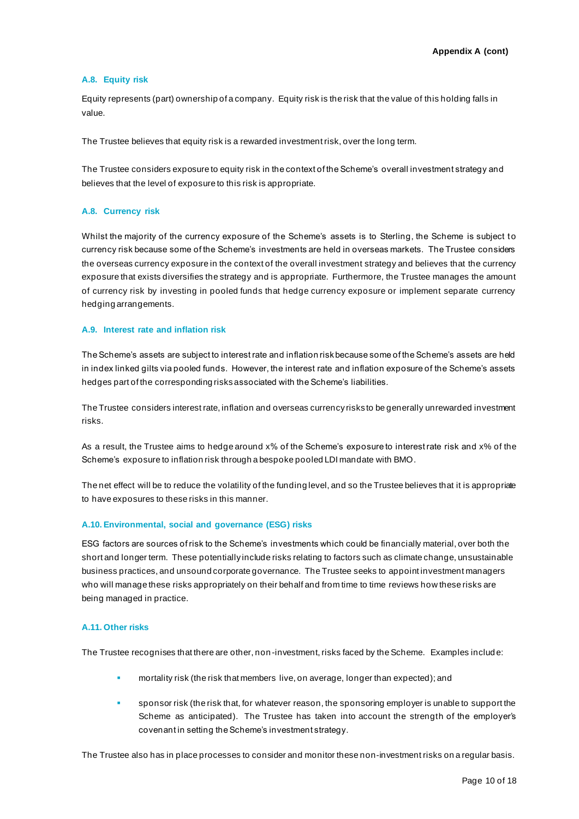## **A.8. Equity risk**

Equity represents (part) ownership of a company. Equity risk is the risk that the value of this holding falls in value.

The Trustee believes that equity risk is a rewarded investment risk, over the long term.

The Trustee considers exposure to equity risk in the context of the Scheme's overall investment strategy and believes that the level of exposure to this risk is appropriate.

## **A.8. Currency risk**

Whilst the majority of the currency exposure of the Scheme's assets is to Sterling, the Scheme is subject to currency risk because some of the Scheme's investments are held in overseas markets. The Trustee considers the overseas currency exposure in the context of the overall investment strategy and believes that the currency exposure that exists diversifies the strategy and is appropriate. Furthermore, the Trustee manages the amount of currency risk by investing in pooled funds that hedge currency exposure or implement separate currency hedging arrangements.

### **A.9. Interest rate and inflation risk**

The Scheme's assets are subject to interest rate and inflation risk because some of the Scheme's assets are held in index linked gilts via pooled funds. However, the interest rate and inflation exposure of the Scheme's assets hedges part of the corresponding risks associated with the Scheme's liabilities.

The Trustee considers interest rate, inflation and overseas currency risks to be generally unrewarded investment risks.

As a result, the Trustee aims to hedge around x% of the Scheme's exposure to interest rate risk and x% of the Scheme's exposure to inflation risk through a bespoke pooled LDI mandate with BMO.

The net effect will be to reduce the volatility of the funding level, and so the Trustee believes that it is appropriate to have exposures to these risks in this manner.

### **A.10. Environmental, social and governance (ESG) risks**

ESG factors are sources of risk to the Scheme's investments which could be financially material, over both the short and longer term. These potentially include risks relating to factors such as climate change, unsustainable business practices, and unsound corporate governance. The Trustee seeks to appoint investment managers who will manage these risks appropriately on their behalf and from time to time reviews how these risks are being managed in practice.

# **A.11. Other risks**

The Trustee recognises that there are other, non-investment, risks faced by the Scheme. Examples includ e:

- mortality risk (the risk that members live, on average, longer than expected); and
- sponsor risk (the risk that, for whatever reason, the sponsoring employer is unable to support the Scheme as anticipated). The Trustee has taken into account the strength of the employer's covenant in setting the Scheme's investment strategy.

The Trustee also has in place processes to consider and monitor these non-investment risks on a regular basis.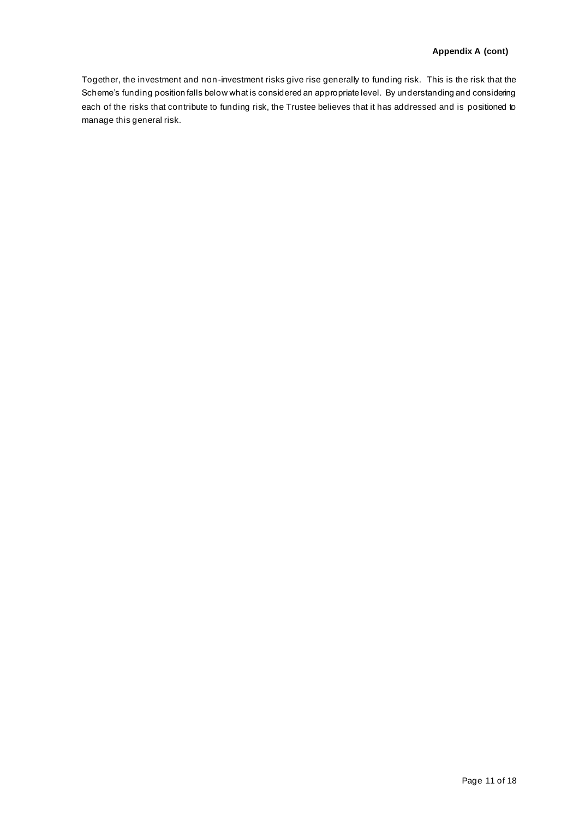Together, the investment and non-investment risks give rise generally to funding risk. This is the risk that the Scheme's funding position falls below what is considered an appropriate level. By understanding and considering each of the risks that contribute to funding risk, the Trustee believes that it has addressed and is positioned to manage this general risk.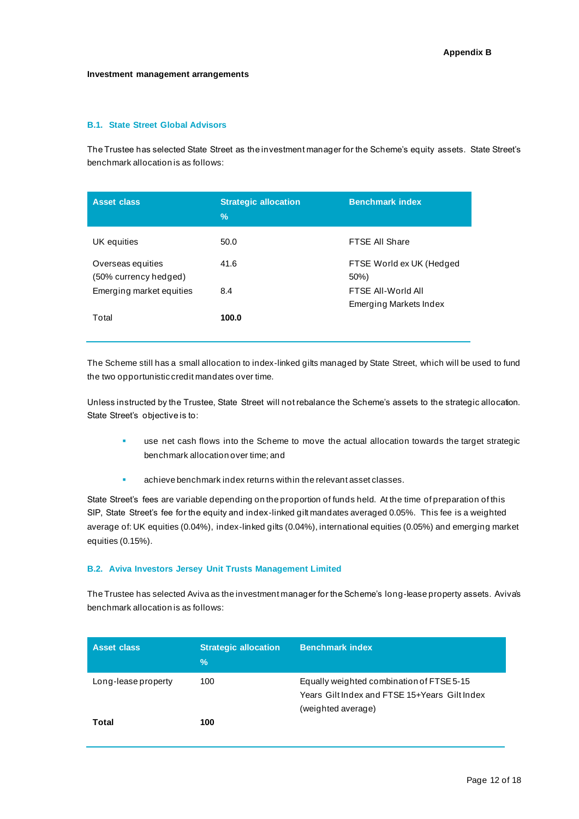#### **Investment management arrangements**

# **B.1. State Street Global Advisors**

The Trustee has selected State Street as the investment manager for the Scheme's equity assets. State Street's benchmark allocation is as follows:

| <b>Asset class</b>                         | <b>Strategic allocation</b><br>$\frac{9}{6}$ | <b>Benchmark index</b>           |
|--------------------------------------------|----------------------------------------------|----------------------------------|
| UK equities                                | 50.0                                         | FTSE All Share                   |
| Overseas equities<br>(50% currency hedged) | 41.6                                         | FTSE World ex UK (Hedged<br>50%) |
| Emerging market equities                   | 8.4                                          | FTSF All-World All               |
| Total                                      | 100.0                                        | Emerging Markets Index           |

The Scheme still has a small allocation to index-linked gilts managed by State Street, which will be used to fund the two opportunistic credit mandates over time.

Unless instructed by the Trustee, State Street will not rebalance the Scheme's assets to the strategic allocation. State Street's objective is to:

- use net cash flows into the Scheme to move the actual allocation towards the target strategic benchmark allocation over time; and
- achieve benchmark index returns within the relevant asset classes.

State Street's fees are variable depending on the proportion of funds held. At the time of preparation of this SIP, State Street's fee for the equity and index-linked gilt mandates averaged 0.05%. This fee is a weighted average of: UK equities (0.04%), index-linked gilts (0.04%), international equities (0.05%) and emerging market equities (0.15%).

## **B.2. Aviva Investors Jersey Unit Trusts Management Limited**

The Trustee has selected Aviva as the investment manager for the Scheme's long-lease property assets. Aviva's benchmark allocation is as follows:

| <b>Asset class</b>  | <b>Strategic allocation</b><br>$\frac{0}{0}$ | <b>Benchmark index</b>                                                                                           |
|---------------------|----------------------------------------------|------------------------------------------------------------------------------------------------------------------|
| Long-lease property | 100                                          | Equally weighted combination of FTSE 5-15<br>Years Gilt Index and FTSE 15+Years Gilt Index<br>(weighted average) |
| Total               | 100                                          |                                                                                                                  |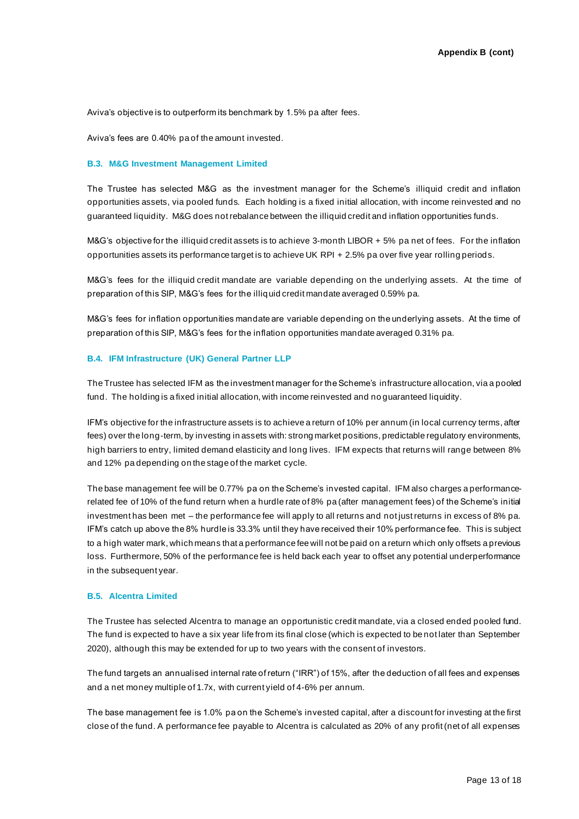Aviva's objective is to outperform its benchmark by 1.5% pa after fees.

Aviva's fees are 0.40% pa of the amount invested.

## **B.3. M&G Investment Management Limited**

The Trustee has selected M&G as the investment manager for the Scheme's illiquid credit and inflation opportunities assets, via pooled funds. Each holding is a fixed initial allocation, with income reinvested and no guaranteed liquidity. M&G does not rebalance between the illiquid credit and inflation opportunities funds.

M&G's objective for the illiquid credit assets is to achieve 3-month LIBOR + 5% pa net of fees. For the inflation opportunities assets its performance target is to achieve UK RPI + 2.5% pa over five year rolling periods.

M&G's fees for the illiquid credit mandate are variable depending on the underlying assets. At the time of preparation of this SIP, M&G's fees for the illiquid credit mandate averaged 0.59% pa.

M&G's fees for inflation opportunities mandate are variable depending on the underlying assets. At the time of preparation of this SIP, M&G's fees for the inflation opportunities mandate averaged 0.31% pa.

#### **B.4. IFM Infrastructure (UK) General Partner LLP**

The Trustee has selected IFM as the investment manager for the Scheme's infrastructure allocation, via a pooled fund. The holding is a fixed initial allocation, with income reinvested and no guaranteed liquidity.

IFM's objective for the infrastructure assets is to achieve a return of 10% per annum (in local currency terms, after fees) over the long-term, by investing in assets with: strong market positions, predictable regulatory environments, high barriers to entry, limited demand elasticity and long lives. IFM expects that returns will range between 8% and 12% pa depending on the stage of the market cycle.

The base management fee will be 0.77% pa on the Scheme's invested capital. IFM also charges a performancerelated fee of 10% of the fund return when a hurdle rate of 8% pa (after management fees) of the Scheme's initial investment has been met – the performance fee will apply to all returns and not just returns in excess of 8% pa. IFM's catch up above the 8% hurdle is 33.3% until they have received their 10% performance fee. This is subject to a high water mark, which means that a performance fee will not be paid on a return which only offsets a previous loss. Furthermore, 50% of the performance fee is held back each year to offset any potential underperformance in the subsequent year.

### **B.5. Alcentra Limited**

The Trustee has selected Alcentra to manage an opportunistic credit mandate, via a closed ended pooled fund. The fund is expected to have a six year life from its final close (which is expected to be not later than September 2020), although this may be extended for up to two years with the consent of investors.

The fund targets an annualised internal rate of return ("IRR") of 15%, after the deduction of all fees and expenses and a net money multiple of 1.7x, with current yield of 4-6% per annum.

The base management fee is 1.0% pa on the Scheme's invested capital, after a discount for investing at the first close of the fund. A performance fee payable to Alcentra is calculated as 20% of any profit (net of all expenses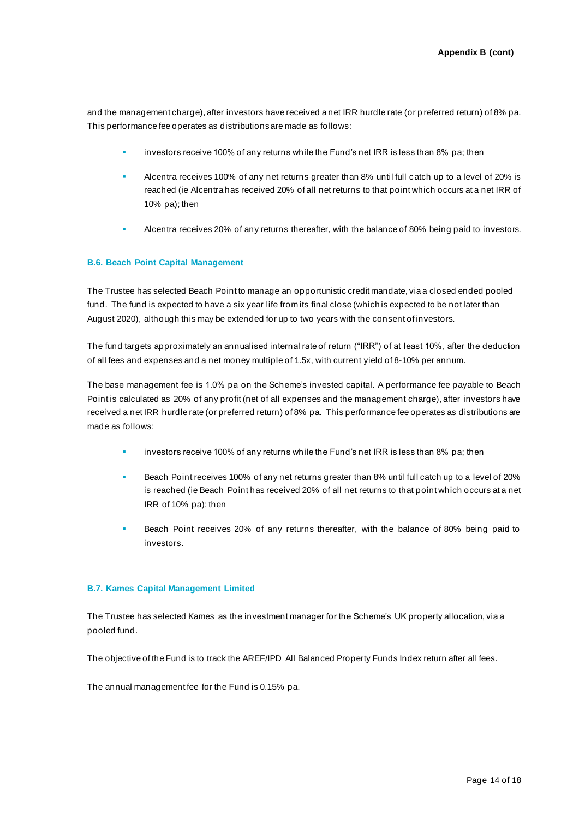and the management charge), after investors have received a net IRR hurdle rate (or p referred return) of 8% pa. This performance fee operates as distributions are made as follows:

- investors receive 100% of any returns while the Fund's net IRR is less than 8% pa; then
- Alcentra receives 100% of any net returns greater than 8% until full catch up to a level of 20% is reached (ie Alcentra has received 20% of all net returns to that point which occurs at a net IRR of 10% pa); then
- Alcentra receives 20% of any returns thereafter, with the balance of 80% being paid to investors.

## **B.6. Beach Point Capital Management**

The Trustee has selected Beach Point to manage an opportunistic credit mandate, via a closed ended pooled fund. The fund is expected to have a six year life from its final close (which is expected to be not later than August 2020), although this may be extended for up to two years with the consent of investors.

The fund targets approximately an annualised internal rate of return ("IRR") of at least 10%, after the deduction of all fees and expenses and a net money multiple of 1.5x, with current yield of 8-10% per annum.

The base management fee is 1.0% pa on the Scheme's invested capital. A performance fee payable to Beach Point is calculated as 20% of any profit (net of all expenses and the management charge), after investors have received a net IRR hurdle rate (or preferred return) of 8% pa. This performance fee operates as distributions are made as follows:

- investors receive 100% of any returns while the Fund's net IRR is less than 8% pa; then
- Beach Point receives 100% of any net returns greater than 8% until full catch up to a level of 20% is reached (ie Beach Point has received 20% of all net returns to that point which occurs at a net IRR of 10% pa); then
- Beach Point receives 20% of any returns thereafter, with the balance of 80% being paid to investors.

### **B.7. Kames Capital Management Limited**

The Trustee has selected Kames as the investment manager for the Scheme's UK property allocation, via a pooled fund.

The objective of the Fund is to track the AREF/IPD All Balanced Property Funds Index return after all fees.

The annual management fee for the Fund is 0.15% pa.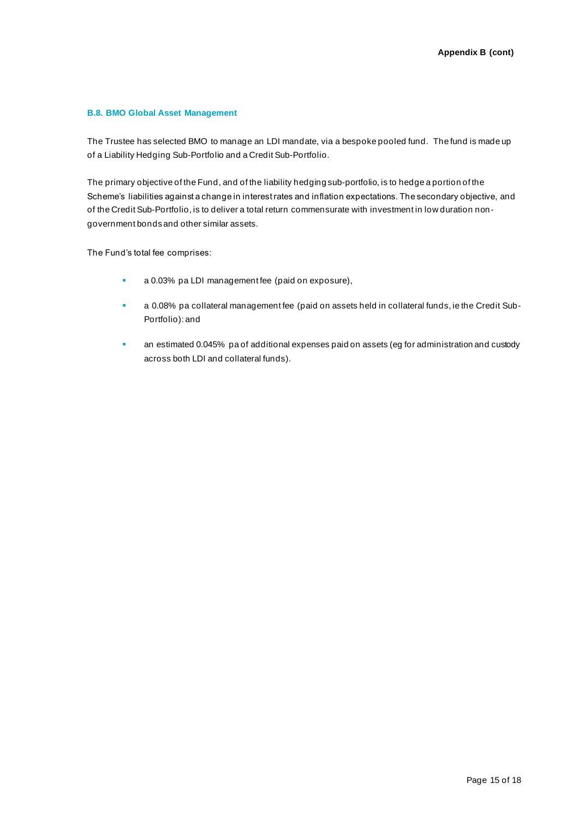# **B.8. BMO Global Asset Management**

The Trustee has selected BMO to manage an LDI mandate, via a bespoke pooled fund. The fund is made up of a Liability Hedging Sub-Portfolio and a Credit Sub-Portfolio.

The primary objective of the Fund, and of the liability hedging sub-portfolio, is to hedge a portion of the Scheme's liabilities against a change in interest rates and inflation expectations. The secondary objective, and of the Credit Sub-Portfolio, is to deliver a total return commensurate with investment in low duration nongovernment bonds and other similar assets.

The Fund's total fee comprises:

- a 0.03% pa LDI management fee (paid on exposure),
- a 0.08% pa collateral management fee (paid on assets held in collateral funds, ie the Credit Sub-Portfolio): and
- **E** an estimated 0.045% pa of additional expenses paid on assets (eg for administration and custody across both LDI and collateral funds).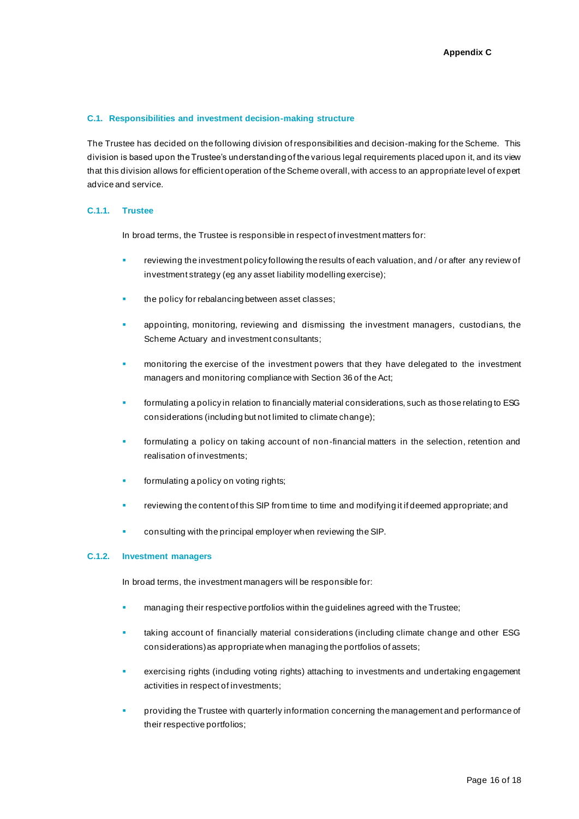### **C.1. Responsibilities and investment decision-making structure**

The Trustee has decided on the following division of responsibilities and decision-making for the Scheme. This division is based upon the Trustee's understanding of the various legal requirements placed upon it, and its view that this division allows for efficient operation of the Scheme overall, with access to an appropriate level of expert advice and service.

## **C.1.1. Trustee**

In broad terms, the Trustee is responsible in respect of investment matters for:

- reviewing the investment policy following the results of each valuation, and / or after any review of investment strategy (eg any asset liability modelling exercise);
- the policy for rebalancing between asset classes;
- appointing, monitoring, reviewing and dismissing the investment managers, custodians, the Scheme Actuary and investment consultants;
- monitoring the exercise of the investment powers that they have delegated to the investment managers and monitoring compliance with Section 36 of the Act;
- formulating a policy in relation to financially material considerations, such as those relating to ESG considerations (including but not limited to climate change);
- formulating a policy on taking account of non-financial matters in the selection, retention and realisation of investments;
- formulating a policy on voting rights;
- reviewing the content of this SIP from time to time and modifying it if deemed appropriate; and
- **EXECONSUM** consulting with the principal employer when reviewing the SIP.

#### **C.1.2. Investment managers**

In broad terms, the investment managers will be responsible for:

- managing their respective portfolios within the guidelines agreed with the Trustee;
- taking account of financially material considerations (including climate change and other ESG considerations) as appropriate when managing the portfolios of assets;
- exercising rights (including voting rights) attaching to investments and undertaking engagement activities in respect of investments;
- providing the Trustee with quarterly information concerning the management and performance of their respective portfolios;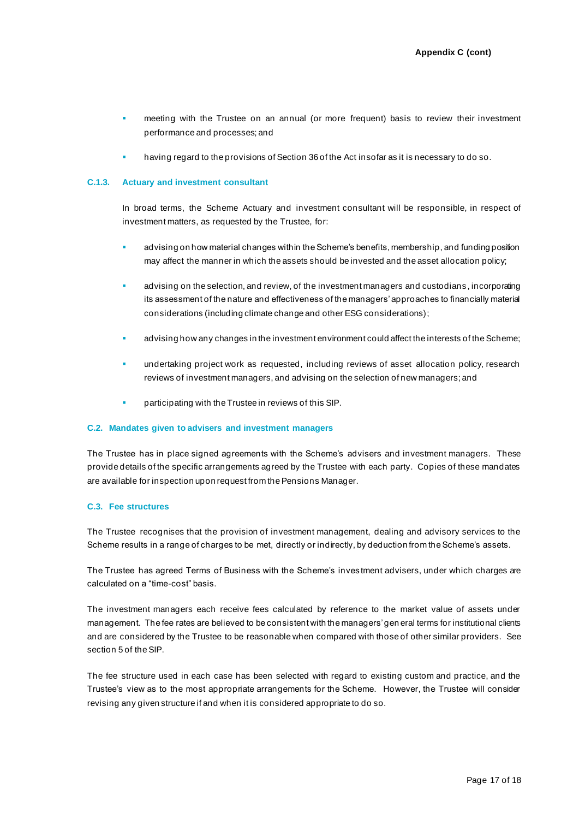- meeting with the Trustee on an annual (or more frequent) basis to review their investment performance and processes; and
- having regard to the provisions of Section 36 of the Act insofar as it is necessary to do so.

## **C.1.3. Actuary and investment consultant**

In broad terms, the Scheme Actuary and investment consultant will be responsible, in respect of investment matters, as requested by the Trustee, for:

- advising on how material changes within the Scheme's benefits, membership, and funding position may affect the manner in which the assets should be invested and the asset allocation policy;
- advising on the selection, and review, of the investment managers and custodians, incorporating its assessment of the nature and effectiveness of the managers' approaches to financially material considerations (including climate change and other ESG considerations);
- advising how any changes in the investment environment could affect the interests of the Scheme;
- undertaking project work as requested, including reviews of asset allocation policy, research reviews of investment managers, and advising on the selection of new managers; and
- participating with the Trustee in reviews of this SIP.

### **C.2. Mandates given to advisers and investment managers**

The Trustee has in place signed agreements with the Scheme's advisers and investment managers. These provide details of the specific arrangements agreed by the Trustee with each party. Copies of these mandates are available for inspection upon request from the Pensions Manager.

# **C.3. Fee structures**

The Trustee recognises that the provision of investment management, dealing and advisory services to the Scheme results in a range of charges to be met, directly or indirectly, by deduction from the Scheme's assets.

The Trustee has agreed Terms of Business with the Scheme's inves tment advisers, under which charges are calculated on a "time-cost" basis.

The investment managers each receive fees calculated by reference to the market value of assets under management. The fee rates are believed to be consistent with the managers' gen eral terms for institutional clients and are considered by the Trustee to be reasonable when compared with those of other similar providers. See section 5 of the SIP.

The fee structure used in each case has been selected with regard to existing custom and practice, and the Trustee's view as to the most appropriate arrangements for the Scheme. However, the Trustee will consider revising any given structure if and when it is considered appropriate to do so.